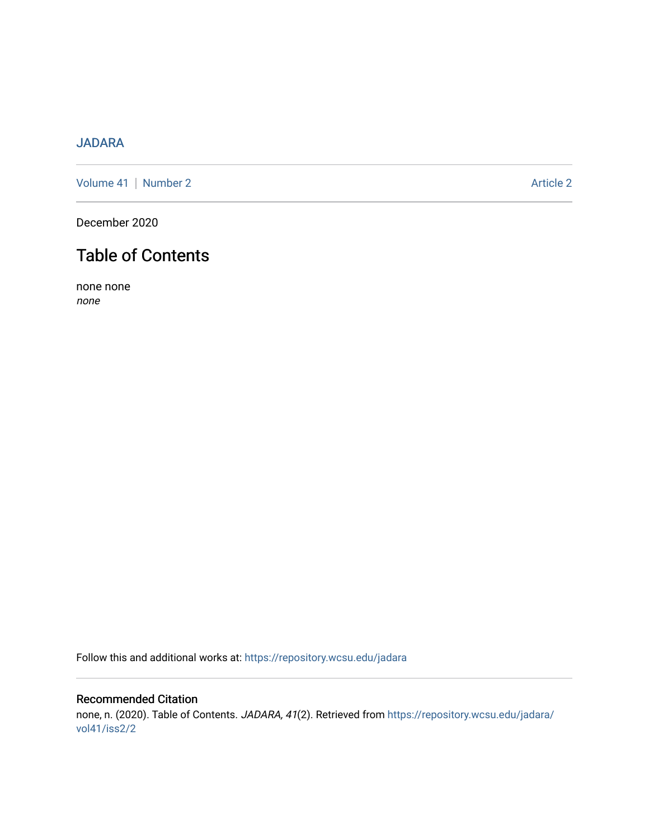## [JADARA](https://repository.wcsu.edu/jadara)

[Volume 41](https://repository.wcsu.edu/jadara/vol41) | [Number 2](https://repository.wcsu.edu/jadara/vol41/iss2) Article 2

December 2020

## Table of Contents

none none none

Follow this and additional works at: [https://repository.wcsu.edu/jadara](https://repository.wcsu.edu/jadara?utm_source=repository.wcsu.edu%2Fjadara%2Fvol41%2Fiss2%2F2&utm_medium=PDF&utm_campaign=PDFCoverPages)

## Recommended Citation none, n. (2020). Table of Contents. JADARA, 41(2). Retrieved from [https://repository.wcsu.edu/jadara/](https://repository.wcsu.edu/jadara/vol41/iss2/2?utm_source=repository.wcsu.edu%2Fjadara%2Fvol41%2Fiss2%2F2&utm_medium=PDF&utm_campaign=PDFCoverPages) [vol41/iss2/2](https://repository.wcsu.edu/jadara/vol41/iss2/2?utm_source=repository.wcsu.edu%2Fjadara%2Fvol41%2Fiss2%2F2&utm_medium=PDF&utm_campaign=PDFCoverPages)